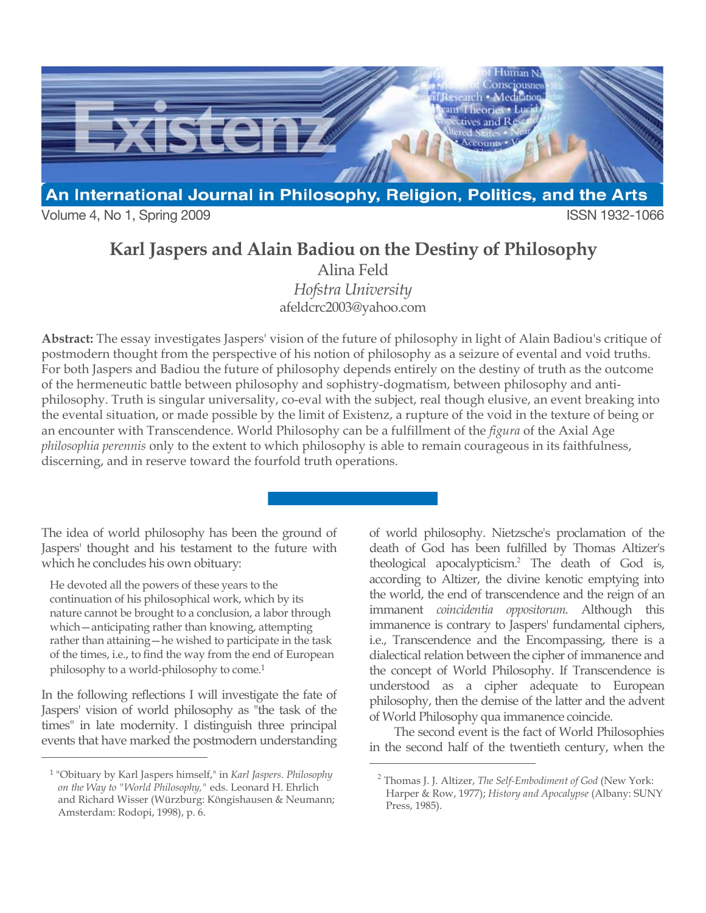

Volume 4, No 1, Spring 2009 **ISSN 1932-1066** 

# **Karl Jaspers and Alain Badiou on the Destiny of Philosophy**

Alina Feld *Hofstra University* afeldcrc2003@yahoo.com

**Abstract:** The essay investigates Jaspers' vision of the future of philosophy in light of Alain Badiou's critique of postmodern thought from the perspective of his notion of philosophy as a seizure of evental and void truths. For both Jaspers and Badiou the future of philosophy depends entirely on the destiny of truth as the outcome of the hermeneutic battle between philosophy and sophistry-dogmatism, between philosophy and antiphilosophy. Truth is singular universality, co-eval with the subject, real though elusive, an event breaking into the evental situation, or made possible by the limit of Existenz, a rupture of the void in the texture of being or an encounter with Transcendence. World Philosophy can be a fulfillment of the *figura* of the Axial Age *philosophia perennis* only to the extent to which philosophy is able to remain courageous in its faithfulness, discerning, and in reserve toward the fourfold truth operations.

 $\overline{a}$ 

The idea of world philosophy has been the ground of Jaspers' thought and his testament to the future with which he concludes his own obituary:

He devoted all the powers of these years to the continuation of his philosophical work, which by its nature cannot be brought to a conclusion, a labor through which—anticipating rather than knowing, attempting rather than attaining—he wished to participate in the task of the times, i.e., to find the way from the end of European philosophy to a world-philosophy to come. 1

In the following reflections I will investigate the fate of Jaspers' vision of world philosophy as "the task of the times" in late modernity. I distinguish three principal events that have marked the postmodern understanding

 $\overline{a}$ 

of world philosophy. Nietzsche's proclamation of the death of God has been fulfilled by Thomas Altizer's theological apocalypticism.<sup>2</sup> The death of God is, according to Altizer, the divine kenotic emptying into the world, the end of transcendence and the reign of an immanent *coincidentia oppositorum*. Although this immanence is contrary to Jaspers' fundamental ciphers, i.e., Transcendence and the Encompassing, there is a dialectical relation between the cipher of immanence and the concept of World Philosophy. If Transcendence is understood as a cipher adequate to European philosophy, then the demise of the latter and the advent of World Philosophy qua immanence coincide.

The second event is the fact of World Philosophies in the second half of the twentieth century, when the

<sup>1</sup> "Obituary by Karl Jaspers himself," in *Karl Jaspers. Philosophy on the Way to "World Philosophy,"* eds. Leonard H. Ehrlich and Richard Wisser (Würzburg: Köngishausen & Neumann; Amsterdam: Rodopi, 1998), p. 6.

<sup>2</sup> Thomas J. J. Altizer, *The Self-Embodiment of God* (New York: Harper & Row, 1977); *History and Apocalypse* (Albany: SUNY Press, 1985).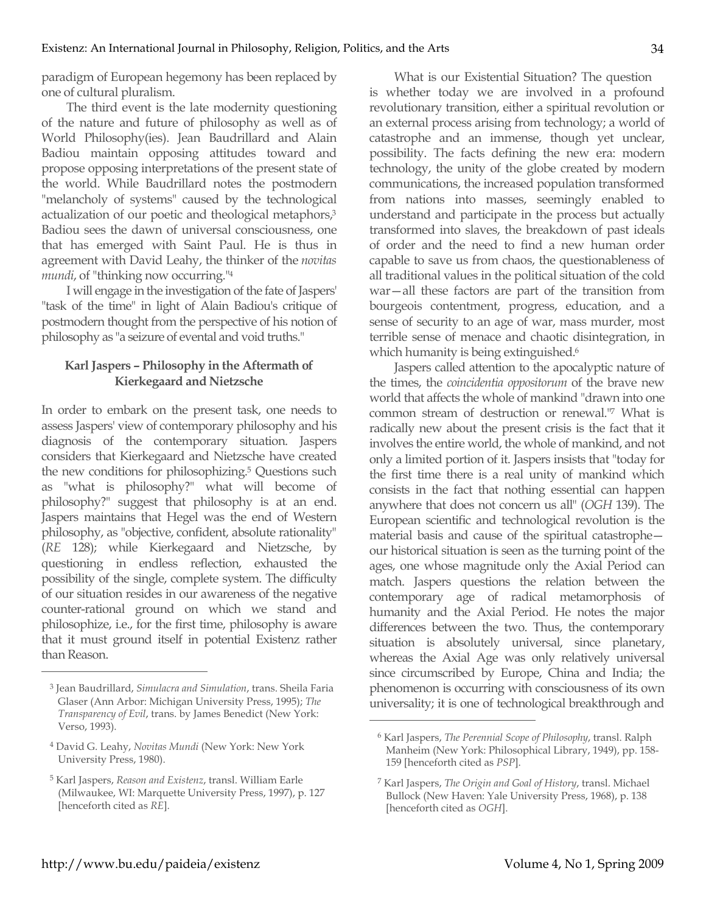paradigm of European hegemony has been replaced by one of cultural pluralism.

The third event is the late modernity questioning of the nature and future of philosophy as well as of World Philosophy(ies). Jean Baudrillard and Alain Badiou maintain opposing attitudes toward and propose opposing interpretations of the present state of the world. While Baudrillard notes the postmodern "melancholy of systems" caused by the technological actualization of our poetic and theological metaphors,<sup>3</sup> Badiou sees the dawn of universal consciousness, one that has emerged with Saint Paul. He is thus in agreement with David Leahy, the thinker of the *novitas mundi*, of "thinking now occurring."4

I will engage in the investigation of the fate of Jaspers' "task of the time" in light of Alain Badiou's critique of postmodern thought from the perspective of his notion of philosophy as "a seizure of evental and void truths."

#### **Karl Jaspers – Philosophy in the Aftermath of Kierkegaard and Nietzsche**

In order to embark on the present task, one needs to assess Jaspers' view of contemporary philosophy and his diagnosis of the contemporary situation. Jaspers considers that Kierkegaard and Nietzsche have created the new conditions for philosophizing.5 Questions such as "what is philosophy?" what will become of philosophy?" suggest that philosophy is at an end. Jaspers maintains that Hegel was the end of Western philosophy, as "objective, confident, absolute rationality" (*RE* 128); while Kierkegaard and Nietzsche, by questioning in endless reflection, exhausted the possibility of the single, complete system. The difficulty of our situation resides in our awareness of the negative counter-rational ground on which we stand and philosophize, i.e., for the first time, philosophy is aware that it must ground itself in potential Existenz rather than Reason.

What is our Existential Situation? The question is whether today we are involved in a profound revolutionary transition, either a spiritual revolution or an external process arising from technology; a world of catastrophe and an immense, though yet unclear, possibility. The facts defining the new era: modern technology, the unity of the globe created by modern communications, the increased population transformed from nations into masses, seemingly enabled to understand and participate in the process but actually transformed into slaves, the breakdown of past ideals of order and the need to find a new human order capable to save us from chaos, the questionableness of all traditional values in the political situation of the cold war—all these factors are part of the transition from bourgeois contentment, progress, education, and a sense of security to an age of war, mass murder, most terrible sense of menace and chaotic disintegration, in which humanity is being extinguished.<sup>6</sup>

Jaspers called attention to the apocalyptic nature of the times, the *coincidentia oppositorum* of the brave new world that affects the whole of mankind "drawn into one common stream of destruction or renewal."7 What is radically new about the present crisis is the fact that it involves the entire world, the whole of mankind, and not only a limited portion of it. Jaspers insists that "today for the first time there is a real unity of mankind which consists in the fact that nothing essential can happen anywhere that does not concern us all" (*OGH* 139). The European scientific and technological revolution is the material basis and cause of the spiritual catastrophe our historical situation is seen as the turning point of the ages, one whose magnitude only the Axial Period can match. Jaspers questions the relation between the contemporary age of radical metamorphosis of humanity and the Axial Period. He notes the major differences between the two. Thus, the contemporary situation is absolutely universal, since planetary, whereas the Axial Age was only relatively universal since circumscribed by Europe, China and India; the phenomenon is occurring with consciousness of its own universality; it is one of technological breakthrough and

 $\overline{a}$ 

<sup>3</sup> Jean Baudrillard, *Simulacra and Simulation*, trans. Sheila Faria Glaser (Ann Arbor: Michigan University Press, 1995); *The Transparency of Evil*, trans. by James Benedict (New York: Verso, 1993).

<sup>4</sup> David G. Leahy, *Novitas Mundi* (New York: New York University Press, 1980).

<sup>5</sup> Karl Jaspers, *Reason and Existenz*, transl. William Earle (Milwaukee, WI: Marquette University Press, 1997), p. 127 [henceforth cited as *RE*].

<sup>6</sup> Karl Jaspers, *The Perennial Scope of Philosophy*, transl. Ralph Manheim (New York: Philosophical Library, 1949), pp. 158- 159 [henceforth cited as *PSP*].

<sup>7</sup> Karl Jaspers, *The Origin and Goal of History*, transl. Michael Bullock (New Haven: Yale University Press, 1968), p. 138 [henceforth cited as *OGH*].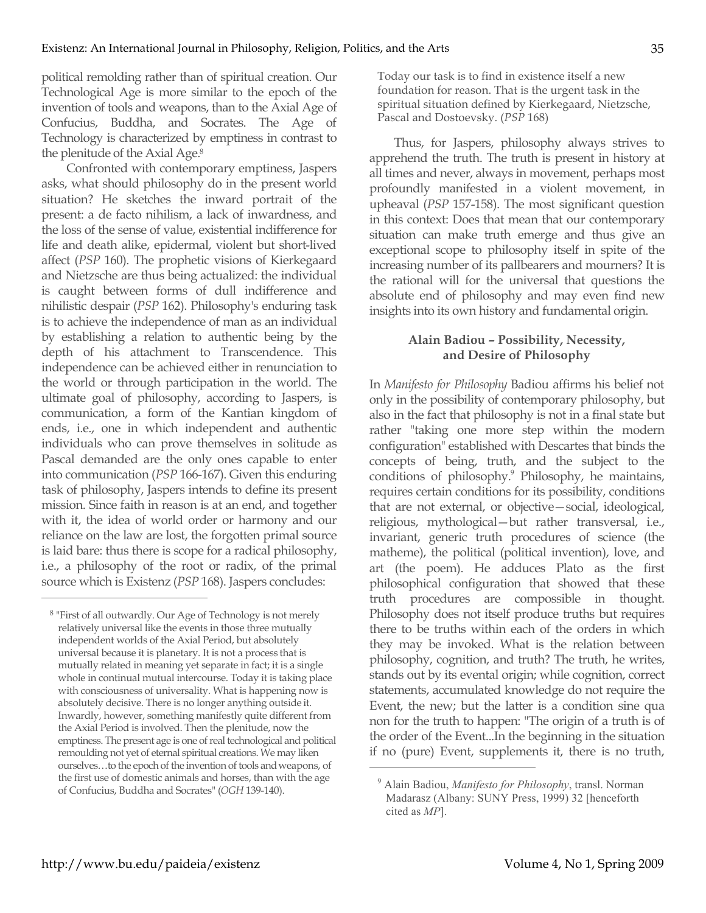political remolding rather than of spiritual creation. Our Technological Age is more similar to the epoch of the invention of tools and weapons, than to the Axial Age of Confucius, Buddha, and Socrates. The Age of Technology is characterized by emptiness in contrast to the plenitude of the Axial Age.8

Confronted with contemporary emptiness, Jaspers asks, what should philosophy do in the present world situation? He sketches the inward portrait of the present: a de facto nihilism, a lack of inwardness, and the loss of the sense of value, existential indifference for life and death alike, epidermal, violent but short-lived affect (*PSP* 160). The prophetic visions of Kierkegaard and Nietzsche are thus being actualized: the individual is caught between forms of dull indifference and nihilistic despair (*PSP* 162). Philosophy's enduring task is to achieve the independence of man as an individual by establishing a relation to authentic being by the depth of his attachment to Transcendence. This independence can be achieved either in renunciation to the world or through participation in the world. The ultimate goal of philosophy, according to Jaspers, is communication, a form of the Kantian kingdom of ends, i.e., one in which independent and authentic individuals who can prove themselves in solitude as Pascal demanded are the only ones capable to enter into communication (*PSP* 166-167). Given this enduring task of philosophy, Jaspers intends to define its present mission. Since faith in reason is at an end, and together with it, the idea of world order or harmony and our reliance on the law are lost, the forgotten primal source is laid bare: thus there is scope for a radical philosophy, i.e., a philosophy of the root or radix, of the primal source which is Existenz (*PSP* 168). Jaspers concludes:

Today our task is to find in existence itself a new foundation for reason. That is the urgent task in the spiritual situation defined by Kierkegaard, Nietzsche, Pascal and Dostoevsky. (*PSP* 168)

Thus, for Jaspers, philosophy always strives to apprehend the truth. The truth is present in history at all times and never, always in movement, perhaps most profoundly manifested in a violent movement, in upheaval (*PSP* 157-158). The most significant question in this context: Does that mean that our contemporary situation can make truth emerge and thus give an exceptional scope to philosophy itself in spite of the increasing number of its pallbearers and mourners? It is the rational will for the universal that questions the absolute end of philosophy and may even find new insights into its own history and fundamental origin.

# **Alain Badiou – Possibility, Necessity, and Desire of Philosophy**

In *Manifesto for Philosophy* Badiou affirms his belief not only in the possibility of contemporary philosophy, but also in the fact that philosophy is not in a final state but rather "taking one more step within the modern configuration" established with Descartes that binds the concepts of being, truth, and the subject to the conditions of philosophy.<sup>9</sup> Philosophy, he maintains, requires certain conditions for its possibility, conditions that are not external, or objective—social, ideological, religious, mythological—but rather transversal, i.e., invariant, generic truth procedures of science (the matheme), the political (political invention), love, and art (the poem). He adduces Plato as the first philosophical configuration that showed that these truth procedures are compossible in thought. Philosophy does not itself produce truths but requires there to be truths within each of the orders in which they may be invoked. What is the relation between philosophy, cognition, and truth? The truth, he writes, stands out by its evental origin; while cognition, correct statements, accumulated knowledge do not require the Event, the new; but the latter is a condition sine qua non for the truth to happen: "The origin of a truth is of the order of the Event...In the beginning in the situation if no (pure) Event, supplements it, there is no truth,

 $\overline{a}$ 

<sup>8</sup> "First of all outwardly. Our Age of Technology is not merely relatively universal like the events in those three mutually independent worlds of the Axial Period, but absolutely universal because it is planetary. It is not a process that is mutually related in meaning yet separate in fact; it is a single whole in continual mutual intercourse. Today it is taking place with consciousness of universality. What is happening now is absolutely decisive. There is no longer anything outside it. Inwardly, however, something manifestly quite different from the Axial Period is involved. Then the plenitude, now the emptiness. The present age is one of real technological and political remoulding not yet of eternal spiritual creations. We may liken ourselves…to the epoch of the invention of tools and weapons, of the first use of domestic animals and horses, than with the age of Confucius, Buddha and Socrates" (*OGH* 139-140).

<sup>9</sup> Alain Badiou, *Manifesto for Philosophy*, transl. Norman Madarasz (Albany: SUNY Press, 1999) 32 [henceforth cited as *MP*].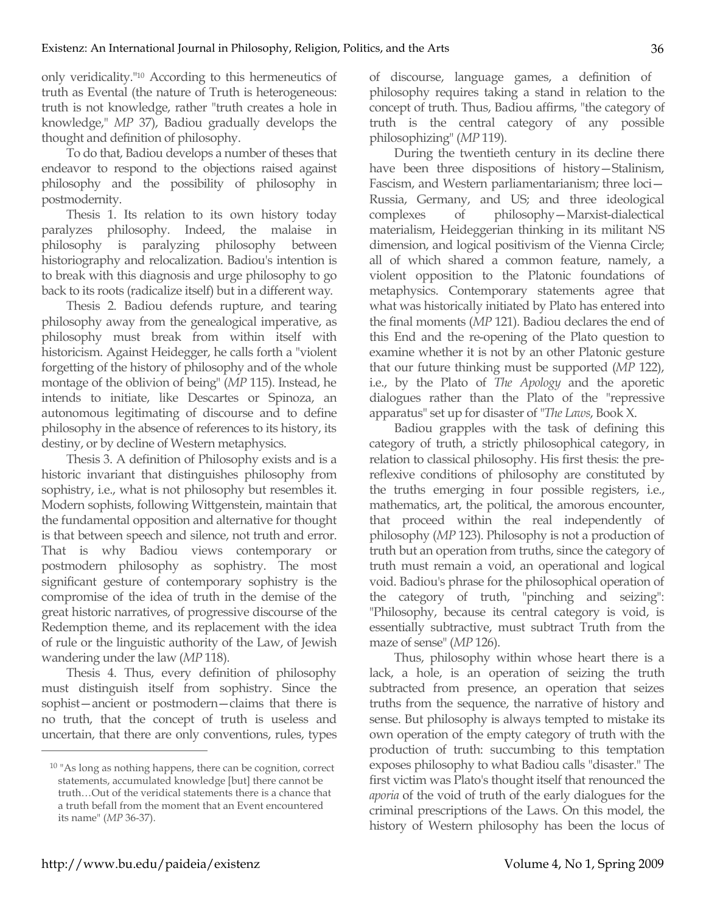only veridicality."10 According to this hermeneutics of truth as Evental (the nature of Truth is heterogeneous: truth is not knowledge, rather "truth creates a hole in knowledge," *MP* 37), Badiou gradually develops the thought and definition of philosophy.

To do that, Badiou develops a number of theses that endeavor to respond to the objections raised against philosophy and the possibility of philosophy in postmodernity.

Thesis 1. Its relation to its own history today paralyzes philosophy. Indeed, the malaise in philosophy is paralyzing philosophy between historiography and relocalization. Badiou's intention is to break with this diagnosis and urge philosophy to go back to its roots (radicalize itself) but in a different way.

Thesis 2. Badiou defends rupture, and tearing philosophy away from the genealogical imperative, as philosophy must break from within itself with historicism. Against Heidegger, he calls forth a "violent forgetting of the history of philosophy and of the whole montage of the oblivion of being" (*MP* 115). Instead, he intends to initiate, like Descartes or Spinoza, an autonomous legitimating of discourse and to define philosophy in the absence of references to its history, its destiny, or by decline of Western metaphysics.

Thesis 3. A definition of Philosophy exists and is a historic invariant that distinguishes philosophy from sophistry, i.e., what is not philosophy but resembles it. Modern sophists, following Wittgenstein, maintain that the fundamental opposition and alternative for thought is that between speech and silence, not truth and error. That is why Badiou views contemporary or postmodern philosophy as sophistry. The most significant gesture of contemporary sophistry is the compromise of the idea of truth in the demise of the great historic narratives, of progressive discourse of the Redemption theme, and its replacement with the idea of rule or the linguistic authority of the Law, of Jewish wandering under the law (*MP* 118).

Thesis 4. Thus, every definition of philosophy must distinguish itself from sophistry. Since the sophist—ancient or postmodern—claims that there is no truth, that the concept of truth is useless and uncertain, that there are only conventions, rules, types of discourse, language games, a definition of philosophy requires taking a stand in relation to the concept of truth. Thus, Badiou affirms, "the category of truth is the central category of any possible philosophizing" (*MP* 119).

During the twentieth century in its decline there have been three dispositions of history—Stalinism, Fascism, and Western parliamentarianism; three loci— Russia, Germany, and US; and three ideological complexes of philosophy—Marxist-dialectical materialism, Heideggerian thinking in its militant NS dimension, and logical positivism of the Vienna Circle; all of which shared a common feature, namely, a violent opposition to the Platonic foundations of metaphysics. Contemporary statements agree that what was historically initiated by Plato has entered into the final moments (*MP* 121). Badiou declares the end of this End and the re-opening of the Plato question to examine whether it is not by an other Platonic gesture that our future thinking must be supported (*MP* 122), i.e., by the Plato of *The Apology* and the aporetic dialogues rather than the Plato of the "repressive apparatus" set up for disaster of "*The Laws*, Book X.

Badiou grapples with the task of defining this category of truth, a strictly philosophical category, in relation to classical philosophy. His first thesis: the prereflexive conditions of philosophy are constituted by the truths emerging in four possible registers, i.e., mathematics, art, the political, the amorous encounter, that proceed within the real independently of philosophy (*MP* 123). Philosophy is not a production of truth but an operation from truths, since the category of truth must remain a void, an operational and logical void. Badiou's phrase for the philosophical operation of the category of truth, "pinching and seizing": "Philosophy, because its central category is void, is essentially subtractive, must subtract Truth from the maze of sense" (*MP* 126).

Thus, philosophy within whose heart there is a lack, a hole, is an operation of seizing the truth subtracted from presence, an operation that seizes truths from the sequence, the narrative of history and sense. But philosophy is always tempted to mistake its own operation of the empty category of truth with the production of truth: succumbing to this temptation exposes philosophy to what Badiou calls "disaster." The first victim was Plato's thought itself that renounced the *aporia* of the void of truth of the early dialogues for the criminal prescriptions of the Laws. On this model, the history of Western philosophy has been the locus of

<sup>10 &</sup>quot;As long as nothing happens, there can be cognition, correct statements, accumulated knowledge [but] there cannot be truth…Out of the veridical statements there is a chance that a truth befall from the moment that an Event encountered its name" (*MP* 36-37).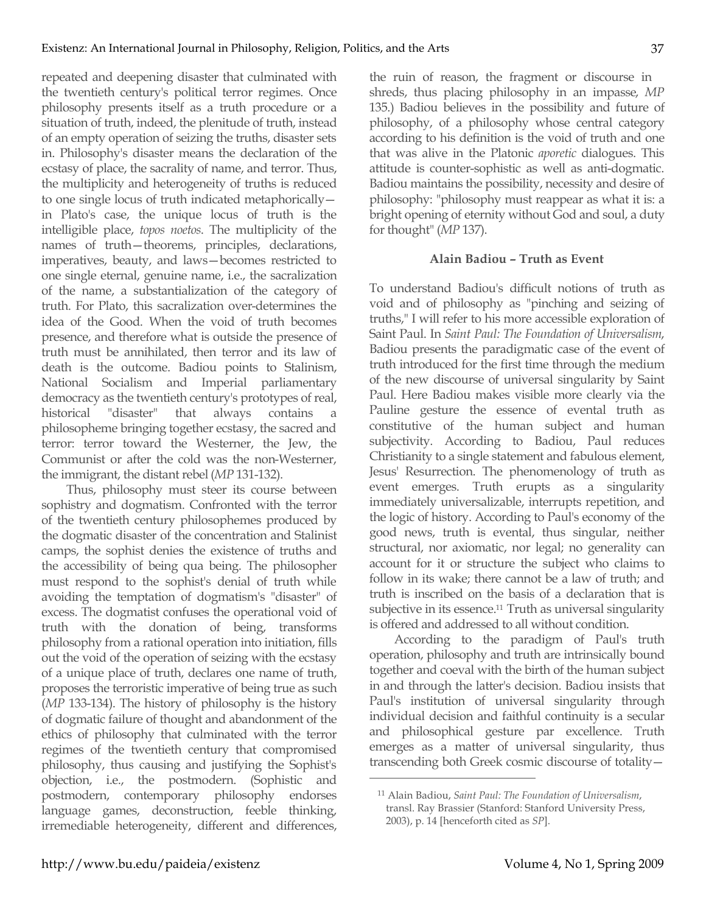repeated and deepening disaster that culminated with the twentieth century's political terror regimes. Once philosophy presents itself as a truth procedure or a situation of truth, indeed, the plenitude of truth, instead of an empty operation of seizing the truths, disaster sets in. Philosophy's disaster means the declaration of the ecstasy of place, the sacrality of name, and terror. Thus, the multiplicity and heterogeneity of truths is reduced to one single locus of truth indicated metaphorically in Plato's case, the unique locus of truth is the intelligible place, *topos noetos*. The multiplicity of the names of truth—theorems, principles, declarations, imperatives, beauty, and laws—becomes restricted to one single eternal, genuine name, i.e., the sacralization of the name, a substantialization of the category of truth. For Plato, this sacralization over-determines the idea of the Good. When the void of truth becomes presence, and therefore what is outside the presence of truth must be annihilated, then terror and its law of death is the outcome. Badiou points to Stalinism, National Socialism and Imperial parliamentary democracy as the twentieth century's prototypes of real,<br>historical "disaster" that always contains a historical "disaster" that always contains a philosopheme bringing together ecstasy, the sacred and terror: terror toward the Westerner, the Jew, the Communist or after the cold was the non-Westerner, the immigrant, the distant rebel (*MP* 131-132).

Thus, philosophy must steer its course between sophistry and dogmatism. Confronted with the terror of the twentieth century philosophemes produced by the dogmatic disaster of the concentration and Stalinist camps, the sophist denies the existence of truths and the accessibility of being qua being. The philosopher must respond to the sophist's denial of truth while avoiding the temptation of dogmatism's "disaster" of excess. The dogmatist confuses the operational void of truth with the donation of being, transforms philosophy from a rational operation into initiation, fills out the void of the operation of seizing with the ecstasy of a unique place of truth, declares one name of truth, proposes the terroristic imperative of being true as such (*MP* 133-134). The history of philosophy is the history of dogmatic failure of thought and abandonment of the ethics of philosophy that culminated with the terror regimes of the twentieth century that compromised philosophy, thus causing and justifying the Sophist's objection, i.e., the postmodern. (Sophistic and postmodern, contemporary philosophy endorses language games, deconstruction, feeble thinking, irremediable heterogeneity, different and differences,

the ruin of reason, the fragment or discourse in shreds, thus placing philosophy in an impasse, *MP* 135.) Badiou believes in the possibility and future of philosophy, of a philosophy whose central category according to his definition is the void of truth and one that was alive in the Platonic *aporetic* dialogues. This attitude is counter-sophistic as well as anti-dogmatic. Badiou maintains the possibility, necessity and desire of philosophy: "philosophy must reappear as what it is: a bright opening of eternity without God and soul, a duty for thought" (*MP* 137).

## **Alain Badiou – Truth as Event**

To understand Badiou's difficult notions of truth as void and of philosophy as "pinching and seizing of truths," I will refer to his more accessible exploration of Saint Paul. In *Saint Paul: The Foundation of Universalism*, Badiou presents the paradigmatic case of the event of truth introduced for the first time through the medium of the new discourse of universal singularity by Saint Paul. Here Badiou makes visible more clearly via the Pauline gesture the essence of evental truth as constitutive of the human subject and human subjectivity. According to Badiou, Paul reduces Christianity to a single statement and fabulous element, Jesus' Resurrection. The phenomenology of truth as event emerges. Truth erupts as a singularity immediately universalizable, interrupts repetition, and the logic of history. According to Paul's economy of the good news, truth is evental, thus singular, neither structural, nor axiomatic, nor legal; no generality can account for it or structure the subject who claims to follow in its wake; there cannot be a law of truth; and truth is inscribed on the basis of a declaration that is subjective in its essence.<sup>11</sup> Truth as universal singularity is offered and addressed to all without condition.

According to the paradigm of Paul's truth operation, philosophy and truth are intrinsically bound together and coeval with the birth of the human subject in and through the latter's decision. Badiou insists that Paul's institution of universal singularity through individual decision and faithful continuity is a secular and philosophical gesture par excellence. Truth emerges as a matter of universal singularity, thus transcending both Greek cosmic discourse of totality—

<sup>11</sup> Alain Badiou, *Saint Paul: The Foundation of Universalism*, transl. Ray Brassier (Stanford: Stanford University Press, 2003), p. 14 [henceforth cited as *SP*].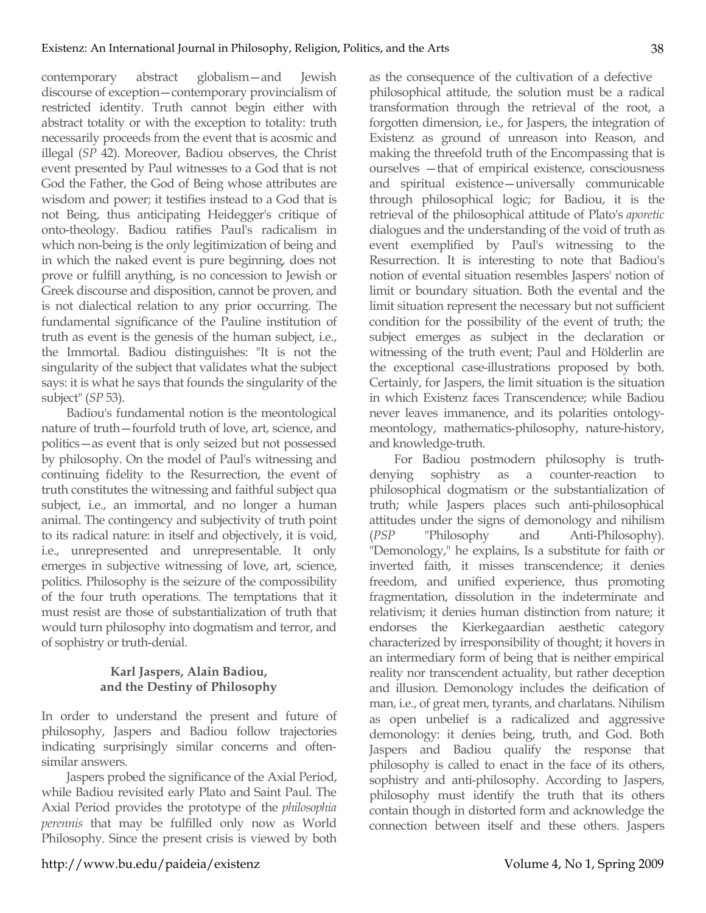contemporary abstract globalism—and Jewish discourse of exception—contemporary provincialism of restricted identity. Truth cannot begin either with abstract totality or with the exception to totality: truth necessarily proceeds from the event that is acosmic and illegal (*SP* 42). Moreover, Badiou observes, the Christ event presented by Paul witnesses to a God that is not God the Father, the God of Being whose attributes are wisdom and power; it testifies instead to a God that is not Being, thus anticipating Heidegger's critique of onto-theology. Badiou ratifies Paul's radicalism in which non-being is the only legitimization of being and in which the naked event is pure beginning, does not prove or fulfill anything, is no concession to Jewish or Greek discourse and disposition, cannot be proven, and is not dialectical relation to any prior occurring. The fundamental significance of the Pauline institution of truth as event is the genesis of the human subject, i.e., the Immortal. Badiou distinguishes: "It is not the singularity of the subject that validates what the subject says: it is what he says that founds the singularity of the subject" (*SP* 53).

Badiou's fundamental notion is the meontological nature of truth—fourfold truth of love, art, science, and politics—as event that is only seized but not possessed by philosophy. On the model of Paul's witnessing and continuing fidelity to the Resurrection, the event of truth constitutes the witnessing and faithful subject qua subject, i.e., an immortal, and no longer a human animal. The contingency and subjectivity of truth point to its radical nature: in itself and objectively, it is void, i.e., unrepresented and unrepresentable. It only emerges in subjective witnessing of love, art, science, politics. Philosophy is the seizure of the compossibility of the four truth operations. The temptations that it must resist are those of substantialization of truth that would turn philosophy into dogmatism and terror, and of sophistry or truth-denial.

## **Karl Jaspers, Alain Badiou, and the Destiny of Philosophy**

In order to understand the present and future of philosophy, Jaspers and Badiou follow trajectories indicating surprisingly similar concerns and oftensimilar answers.

Jaspers probed the significance of the Axial Period, while Badiou revisited early Plato and Saint Paul. The Axial Period provides the prototype of the *philosophia perennis* that may be fulfilled only now as World Philosophy. Since the present crisis is viewed by both as the consequence of the cultivation of a defective philosophical attitude, the solution must be a radical transformation through the retrieval of the root, a forgotten dimension, i.e., for Jaspers, the integration of Existenz as ground of unreason into Reason, and making the threefold truth of the Encompassing that is ourselves —that of empirical existence, consciousness and spiritual existence—universally communicable through philosophical logic; for Badiou, it is the retrieval of the philosophical attitude of Plato's *aporetic* dialogues and the understanding of the void of truth as event exemplified by Paul's witnessing to the Resurrection. It is interesting to note that Badiou's notion of evental situation resembles Jaspers' notion of limit or boundary situation. Both the evental and the limit situation represent the necessary but not sufficient condition for the possibility of the event of truth; the subject emerges as subject in the declaration or witnessing of the truth event; Paul and Hölderlin are the exceptional case-illustrations proposed by both. Certainly, for Jaspers, the limit situation is the situation in which Existenz faces Transcendence; while Badiou never leaves immanence, and its polarities ontologymeontology, mathematics-philosophy, nature-history, and knowledge-truth.

For Badiou postmodern philosophy is truthdenying sophistry as a counter-reaction to philosophical dogmatism or the substantialization of truth; while Jaspers places such anti-philosophical attitudes under the signs of demonology and nihilism (*PSP* "Philosophy and Anti-Philosophy). "Demonology," he explains, Is a substitute for faith or inverted faith, it misses transcendence; it denies freedom, and unified experience, thus promoting fragmentation, dissolution in the indeterminate and relativism; it denies human distinction from nature; it endorses the Kierkegaardian aesthetic category characterized by irresponsibility of thought; it hovers in an intermediary form of being that is neither empirical reality nor transcendent actuality, but rather deception and illusion. Demonology includes the deification of man, i.e., of great men, tyrants, and charlatans. Nihilism as open unbelief is a radicalized and aggressive demonology: it denies being, truth, and God. Both Jaspers and Badiou qualify the response that philosophy is called to enact in the face of its others, sophistry and anti-philosophy. According to Jaspers, philosophy must identify the truth that its others contain though in distorted form and acknowledge the connection between itself and these others. Jaspers